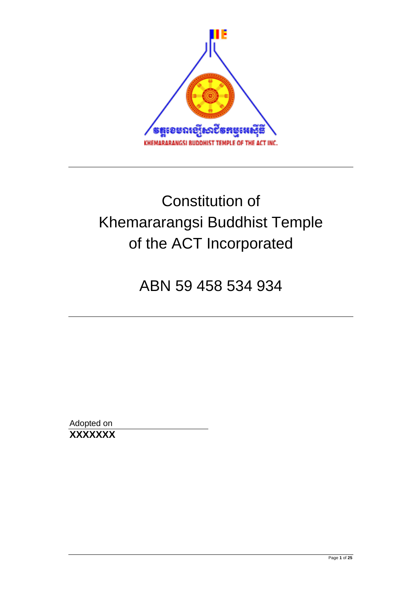

# Constitution of Khemararangsi Buddhist Temple of the ACT Incorporated

## ABN 59 458 534 934

Adopted on **XXXXXXX**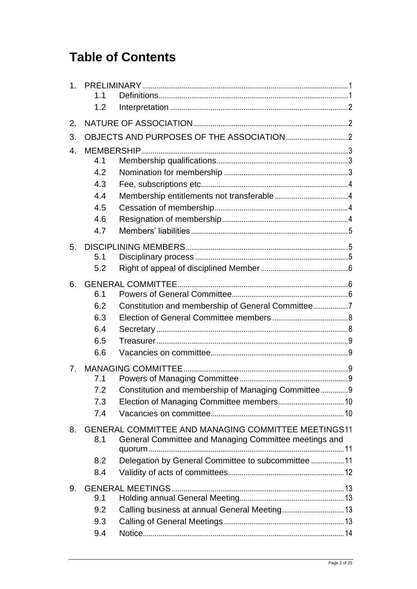## **Table of Contents**

| 1 <sub>1</sub> | 1.1        |                                                                                                                     |  |  |  |
|----------------|------------|---------------------------------------------------------------------------------------------------------------------|--|--|--|
|                | 1.2        |                                                                                                                     |  |  |  |
| 2.             |            |                                                                                                                     |  |  |  |
| 3.             |            |                                                                                                                     |  |  |  |
| 4.             |            |                                                                                                                     |  |  |  |
|                | 4.1<br>4.2 |                                                                                                                     |  |  |  |
|                | 4.3        |                                                                                                                     |  |  |  |
|                | 4.4        |                                                                                                                     |  |  |  |
|                | 4.5        |                                                                                                                     |  |  |  |
|                | 4.6        |                                                                                                                     |  |  |  |
|                | 4.7        |                                                                                                                     |  |  |  |
| 5.             |            |                                                                                                                     |  |  |  |
|                | 5.1        |                                                                                                                     |  |  |  |
|                | 5.2        |                                                                                                                     |  |  |  |
| 6.             |            |                                                                                                                     |  |  |  |
|                | 6.1        |                                                                                                                     |  |  |  |
|                | 6.2<br>6.3 | Constitution and membership of General Committee7                                                                   |  |  |  |
|                | 6.4        |                                                                                                                     |  |  |  |
|                | 6.5        |                                                                                                                     |  |  |  |
|                | 6.6        |                                                                                                                     |  |  |  |
| 7 <sub>1</sub> |            |                                                                                                                     |  |  |  |
|                | 7.1        |                                                                                                                     |  |  |  |
|                | 7.2        | Constitution and membership of Managing Committee 9                                                                 |  |  |  |
|                | 7.3        |                                                                                                                     |  |  |  |
|                | 7.4        |                                                                                                                     |  |  |  |
| 8.             | 8.1        | <b>GENERAL COMMITTEE AND MANAGING COMMITTEE MEETINGS11</b><br>General Committee and Managing Committee meetings and |  |  |  |
|                |            |                                                                                                                     |  |  |  |
|                | 8.2        | Delegation by General Committee to subcommittee  11                                                                 |  |  |  |
|                | 8.4        |                                                                                                                     |  |  |  |
| 9.             |            |                                                                                                                     |  |  |  |
|                | 9.1        |                                                                                                                     |  |  |  |
|                | 9.2        | Calling business at annual General Meeting 13                                                                       |  |  |  |
|                | 9.3<br>9.4 |                                                                                                                     |  |  |  |
|                |            |                                                                                                                     |  |  |  |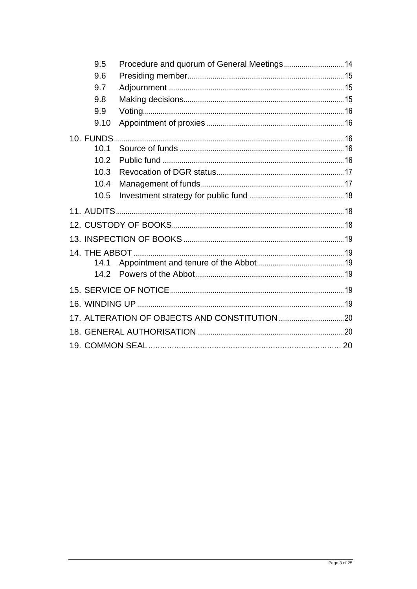| 9.5       |  |  |  |  |
|-----------|--|--|--|--|
| 9.6       |  |  |  |  |
| 9.7       |  |  |  |  |
| 9.8       |  |  |  |  |
| 9.9       |  |  |  |  |
| 9.10      |  |  |  |  |
| 10. FUNDS |  |  |  |  |
| 10.1      |  |  |  |  |
| 10.2      |  |  |  |  |
| 10.3      |  |  |  |  |
| 10.4      |  |  |  |  |
| 10.5      |  |  |  |  |
|           |  |  |  |  |
|           |  |  |  |  |
|           |  |  |  |  |
|           |  |  |  |  |
|           |  |  |  |  |
| 14.1      |  |  |  |  |
| 14.2      |  |  |  |  |
|           |  |  |  |  |
|           |  |  |  |  |
|           |  |  |  |  |
|           |  |  |  |  |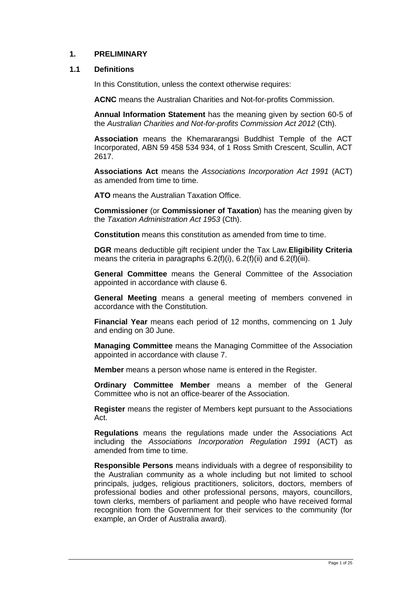#### <span id="page-3-0"></span>**1. PRELIMINARY**

#### <span id="page-3-1"></span>**1.1 Definitions**

In this Constitution, unless the context otherwise requires:

**ACNC** means the Australian Charities and Not-for-profits Commission.

**Annual Information Statement** has the meaning given by section 60-5 of the *Australian Charities and Not-for-profits Commission Act 2012* (Cth).

**Association** means the Khemararangsi Buddhist Temple of the ACT Incorporated, ABN 59 458 534 934, of 1 Ross Smith Crescent, Scullin, ACT 2617.

**Associations Act** means the *Associations Incorporation Act 1991* (ACT) as amended from time to time.

**ATO** means the Australian Taxation Office.

**Commissioner** (or **Commissioner of Taxation**) has the meaning given by the *Taxation Administration Act 1953* (Cth).

**Constitution** means this constitution as amended from time to time.

**DGR** means deductible gift recipient under the Tax Law.**Eligibility Criteria**  means the criteria in paragraphs  $6.2(f)(i)$ ,  $6.2(f)(ii)$  and  $6.2(f)(iii)$ .

**General Committee** means the General Committee of the Association appointed in accordance with clause [6.](#page-8-1)

**General Meeting** means a general meeting of members convened in accordance with the Constitution.

**Financial Year** means each period of 12 months, commencing on 1 July and ending on 30 June.

**Managing Committee** means the Managing Committee of the Association appointed in accordance with clause [7.](#page-11-2)

**Member** means a person whose name is entered in the Register.

**Ordinary Committee Member** means a member of the General Committee who is not an office-bearer of the Association.

**Register** means the register of Members kept pursuant to the Associations Act.

**Regulations** means the regulations made under the Associations Act including the *Associations Incorporation Regulation 1991* (ACT) as amended from time to time.

**Responsible Persons** means individuals with a degree of responsibility to the Australian community as a whole including but not limited to school principals, judges, religious practitioners, solicitors, doctors, members of professional bodies and other professional persons, mayors, councillors, town clerks, members of parliament and people who have received formal recognition from the Government for their services to the community (for example, an Order of Australia award).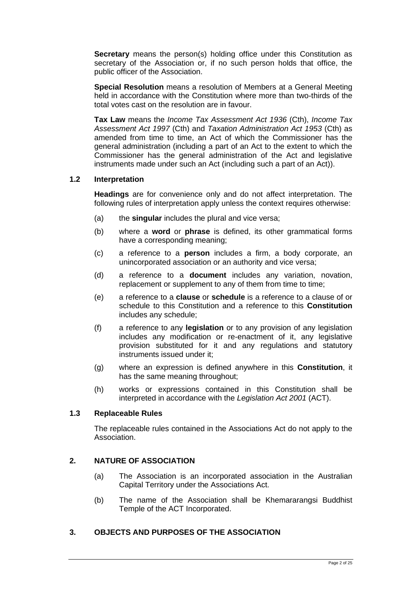**Secretary** means the person(s) holding office under this Constitution as secretary of the Association or, if no such person holds that office, the public officer of the Association.

**Special Resolution** means a resolution of Members at a General Meeting held in accordance with the Constitution where more than two-thirds of the total votes cast on the resolution are in favour.

**Tax Law** means the *Income Tax Assessment Act 1936* (Cth), *Income Tax Assessment Act 1997* (Cth) and *[Taxation Administration Act 1953](http://www.austlii.edu.au/au/legis/cth/consol_act/taa1953269/)* (Cth) as amended from time to time, an Act of which the Commissioner has the general administration (including a part of an Act to the extent to which the Commissioner has the general administration of the Act and legislative instruments made under such an Act (including such a part of an Act)).

#### <span id="page-4-0"></span>**1.2 Interpretation**

**Headings** are for convenience only and do not affect interpretation. The following rules of interpretation apply unless the context requires otherwise:

- (a) the **singular** includes the plural and vice versa;
- (b) where a **word** or **phrase** is defined, its other grammatical forms have a corresponding meaning;
- (c) a reference to a **person** includes a firm, a body corporate, an unincorporated association or an authority and vice versa;
- (d) a reference to a **document** includes any variation, novation, replacement or supplement to any of them from time to time;
- (e) a reference to a **clause** or **schedule** is a reference to a clause of or schedule to this Constitution and a reference to this **Constitution** includes any schedule;
- (f) a reference to any **legislation** or to any provision of any legislation includes any modification or re-enactment of it, any legislative provision substituted for it and any regulations and statutory instruments issued under it;
- (g) where an expression is defined anywhere in this **Constitution**, it has the same meaning throughout;
- (h) works or expressions contained in this Constitution shall be interpreted in accordance with the *Legislation Act 2001* (ACT).

#### **1.3 Replaceable Rules**

The replaceable rules contained in the Associations Act do not apply to the Association.

#### <span id="page-4-1"></span>**2. NATURE OF ASSOCIATION**

- (a) The Association is an incorporated association in the Australian Capital Territory under the Associations Act.
- (b) The name of the Association shall be Khemararangsi Buddhist Temple of the ACT Incorporated.

#### <span id="page-4-2"></span>**3. OBJECTS AND PURPOSES OF THE ASSOCIATION**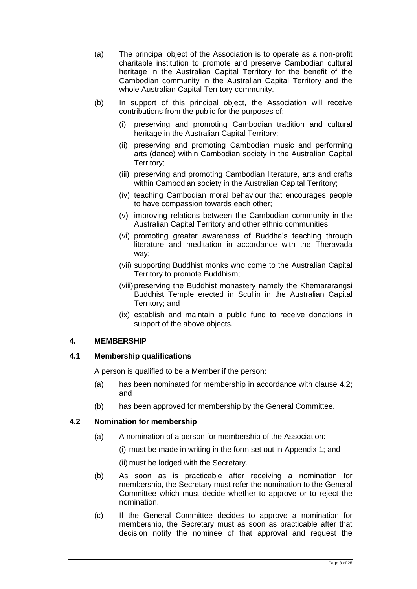- (a) The principal object of the Association is to operate as a non-profit charitable institution to promote and preserve Cambodian cultural heritage in the Australian Capital Territory for the benefit of the Cambodian community in the Australian Capital Territory and the whole Australian Capital Territory community.
- (b) In support of this principal object, the Association will receive contributions from the public for the purposes of:
	- (i) preserving and promoting Cambodian tradition and cultural heritage in the Australian Capital Territory;
	- (ii) preserving and promoting Cambodian music and performing arts (dance) within Cambodian society in the Australian Capital Territory;
	- (iii) preserving and promoting Cambodian literature, arts and crafts within Cambodian society in the Australian Capital Territory;
	- (iv) teaching Cambodian moral behaviour that encourages people to have compassion towards each other;
	- (v) improving relations between the Cambodian community in the Australian Capital Territory and other ethnic communities;
	- (vi) promoting greater awareness of Buddha's teaching through literature and meditation in accordance with the Theravada way;
	- (vii) supporting Buddhist monks who come to the Australian Capital Territory to promote Buddhism;
	- (viii)preserving the Buddhist monastery namely the Khemararangsi Buddhist Temple erected in Scullin in the Australian Capital Territory; and
	- (ix) establish and maintain a public fund to receive donations in support of the above objects.

#### <span id="page-5-0"></span>**4. MEMBERSHIP**

#### <span id="page-5-1"></span>**4.1 Membership qualifications**

A person is qualified to be a Member if the person:

- (a) has been nominated for membership in accordance with clause [4.2;](#page-5-2) and
- (b) has been approved for membership by the General Committee.

#### <span id="page-5-2"></span>**4.2 Nomination for membership**

- (a) A nomination of a person for membership of the Association:
	- (i) must be made in writing in the form set out in Appendix 1; and

(ii) must be lodged with the Secretary.

- (b) As soon as is practicable after receiving a nomination for membership, the Secretary must refer the nomination to the General Committee which must decide whether to approve or to reject the nomination.
- <span id="page-5-3"></span>(c) If the General Committee decides to approve a nomination for membership, the Secretary must as soon as practicable after that decision notify the nominee of that approval and request the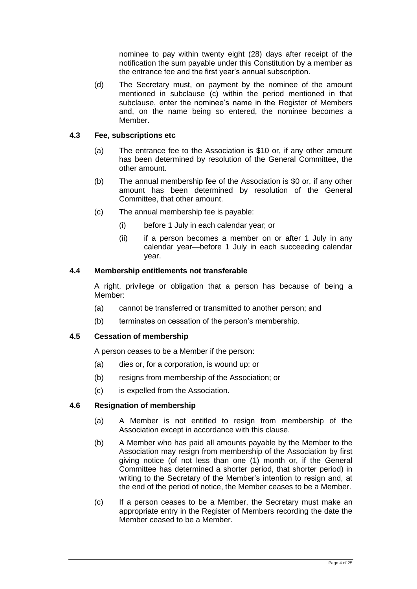nominee to pay within twenty eight (28) days after receipt of the notification the sum payable under this Constitution by a member as the entrance fee and the first year's annual subscription.

(d) The Secretary must, on payment by the nominee of the amount mentioned in subclause [\(c\)](#page-5-3) within the period mentioned in that subclause, enter the nominee's name in the Register of Members and, on the name being so entered, the nominee becomes a Member.

#### <span id="page-6-0"></span>**4.3 Fee, subscriptions etc**

- (a) The entrance fee to the Association is \$10 or, if any other amount has been determined by resolution of the General Committee, the other amount.
- (b) The annual membership fee of the Association is \$0 or, if any other amount has been determined by resolution of the General Committee, that other amount.
- (c) The annual membership fee is payable:
	- (i) before 1 July in each calendar year; or
	- (ii) if a person becomes a member on or after 1 July in any calendar year—before 1 July in each succeeding calendar year.

#### <span id="page-6-1"></span>**4.4 Membership entitlements not transferable**

A right, privilege or obligation that a person has because of being a Member:

- (a) cannot be transferred or transmitted to another person; and
- (b) terminates on cessation of the person's membership.

#### <span id="page-6-2"></span>**4.5 Cessation of membership**

A person ceases to be a Member if the person:

- (a) dies or, for a corporation, is wound up; or
- (b) resigns from membership of the Association; or
- (c) is expelled from the Association.

#### <span id="page-6-3"></span>**4.6 Resignation of membership**

- (a) A Member is not entitled to resign from membership of the Association except in accordance with this clause.
- (b) A Member who has paid all amounts payable by the Member to the Association may resign from membership of the Association by first giving notice (of not less than one (1) month or, if the General Committee has determined a shorter period, that shorter period) in writing to the Secretary of the Member's intention to resign and, at the end of the period of notice, the Member ceases to be a Member.
- (c) If a person ceases to be a Member, the Secretary must make an appropriate entry in the Register of Members recording the date the Member ceased to be a Member.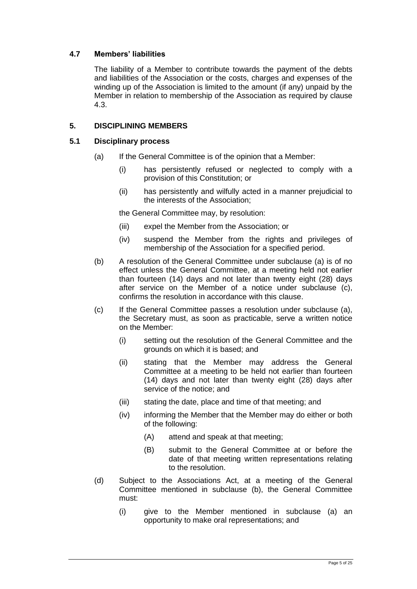#### <span id="page-7-0"></span>**4.7 Members' liabilities**

The liability of a Member to contribute towards the payment of the debts and liabilities of the Association or the costs, charges and expenses of the winding up of the Association is limited to the amount (if any) unpaid by the Member in relation to membership of the Association as required by clause [4.3.](#page-6-0)

#### <span id="page-7-1"></span>**5. DISCIPLINING MEMBERS**

#### <span id="page-7-2"></span>**5.1 Disciplinary process**

- (a) If the General Committee is of the opinion that a Member:
	- (i) has persistently refused or neglected to comply with a provision of this Constitution; or
	- (ii) has persistently and wilfully acted in a manner prejudicial to the interests of the Association;

the General Committee may, by resolution:

- (iii) expel the Member from the Association; or
- (iv) suspend the Member from the rights and privileges of membership of the Association for a specified period.
- (b) A resolution of the General Committee under subclause (a) is of no effect unless the General Committee, at a meeting held not earlier than fourteen (14) days and not later than twenty eight (28) days after service on the Member of a notice under subclause (c), confirms the resolution in accordance with this clause.
- (c) If the General Committee passes a resolution under subclause (a), the Secretary must, as soon as practicable, serve a written notice on the Member:
	- (i) setting out the resolution of the General Committee and the grounds on which it is based; and
	- (ii) stating that the Member may address the General Committee at a meeting to be held not earlier than fourteen (14) days and not later than twenty eight (28) days after service of the notice; and
	- (iii) stating the date, place and time of that meeting; and
	- (iv) informing the Member that the Member may do either or both of the following:
		- (A) attend and speak at that meeting;
		- (B) submit to the General Committee at or before the date of that meeting written representations relating to the resolution.
- (d) Subject to the Associations Act, at a meeting of the General Committee mentioned in subclause (b), the General Committee must:
	- (i) give to the Member mentioned in subclause (a) an opportunity to make oral representations; and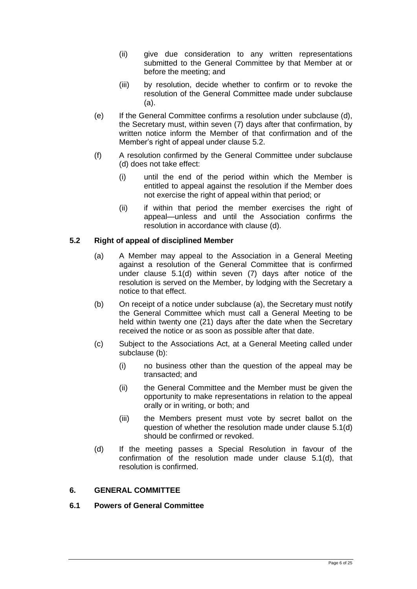- (ii) give due consideration to any written representations submitted to the General Committee by that Member at or before the meeting; and
- (iii) by resolution, decide whether to confirm or to revoke the resolution of the General Committee made under subclause (a).
- (e) If the General Committee confirms a resolution under subclause (d), the Secretary must, within seven (7) days after that confirmation, by written notice inform the Member of that confirmation and of the Member's right of appeal under clause [5.2.](#page-8-0)
- (f) A resolution confirmed by the General Committee under subclause (d) does not take effect:
	- (i) until the end of the period within which the Member is entitled to appeal against the resolution if the Member does not exercise the right of appeal within that period; or
	- (ii) if within that period the member exercises the right of appeal—unless and until the Association confirms the resolution in accordance with clause (d).

#### <span id="page-8-0"></span>**5.2 Right of appeal of disciplined Member**

- (a) A Member may appeal to the Association in a General Meeting against a resolution of the General Committee that is confirmed under clause 5.1(d) within seven (7) days after notice of the resolution is served on the Member, by lodging with the Secretary a notice to that effect.
- (b) On receipt of a notice under subclause (a), the Secretary must notify the General Committee which must call a General Meeting to be held within twenty one (21) days after the date when the Secretary received the notice or as soon as possible after that date.
- (c) Subject to the Associations [Act,](http://www.legislation.act.gov.au/a/1991-46/default.asp) at a General Meeting called under subclause (b):
	- (i) no business other than the question of the appeal may be transacted; and
	- (ii) the General Committee and the Member must be given the opportunity to make representations in relation to the appeal orally or in writing, or both; and
	- (iii) the Members present must vote by secret ballot on the question of whether the resolution made under clause 5.1(d) should be confirmed or revoked.
- (d) If the meeting passes a Special Resolution in favour of the confirmation of the resolution made under clause 5.1(d), that resolution is confirmed.

#### <span id="page-8-1"></span>**6. GENERAL COMMITTEE**

#### <span id="page-8-2"></span>**6.1 Powers of General Committee**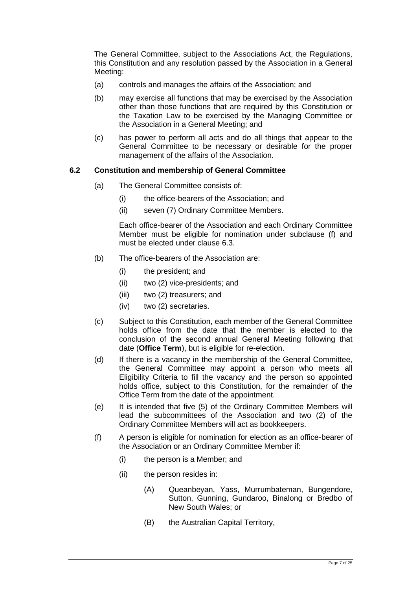The General Committee, subject to the Associations Act, the Regulations, this Constitution and any resolution passed by the Association in a General Meeting:

- (a) controls and manages the affairs of the Association; and
- (b) may exercise all functions that may be exercised by the Association other than those functions that are required by this Constitution or the Taxation Law to be exercised by the Managing Committee or the Association in a General Meeting; and
- (c) has power to perform all acts and do all things that appear to the General Committee to be necessary or desirable for the proper management of the affairs of the Association.

#### <span id="page-9-0"></span>**6.2 Constitution and membership of General Committee**

- (a) The General Committee consists of:
	- (i) the office-bearers of the Association; and
	- (ii) seven (7) Ordinary Committee Members.

Each office-bearer of the Association and each Ordinary Committee Member must be eligible for nomination under subclause [\(f\)](#page-9-3) and must be elected under clause [6.3.](#page-10-0)

- (b) The office-bearers of the Association are:
	- (i) the president; and
	- (ii) two (2) vice-presidents; and
	- (iii) two (2) treasurers; and
	- (iv) two (2) secretaries.
- (c) Subject to this Constitution, each member of the General Committee holds office from the date that the member is elected to the conclusion of the second annual General Meeting following that date (**Office Term**), but is eligible for re-election.
- (d) If there is a vacancy in the membership of the General Committee, the General Committee may appoint a person who meets all Eligibility Criteria to fill the vacancy and the person so appointed holds office, subject to this Constitution, for the remainder of the Office Term from the date of the appointment.
- (e) It is intended that five (5) of the Ordinary Committee Members will lead the subcommittees of the Association and two (2) of the Ordinary Committee Members will act as bookkeepers.
- <span id="page-9-3"></span><span id="page-9-2"></span><span id="page-9-1"></span>(f) A person is eligible for nomination for election as an office-bearer of the Association or an Ordinary Committee Member if:
	- (i) the person is a Member; and
	- (ii) the person resides in:
		- (A) Queanbeyan, Yass, Murrumbateman, Bungendore, Sutton, Gunning, Gundaroo, Binalong or Bredbo of New South Wales; or
		- (B) the Australian Capital Territory,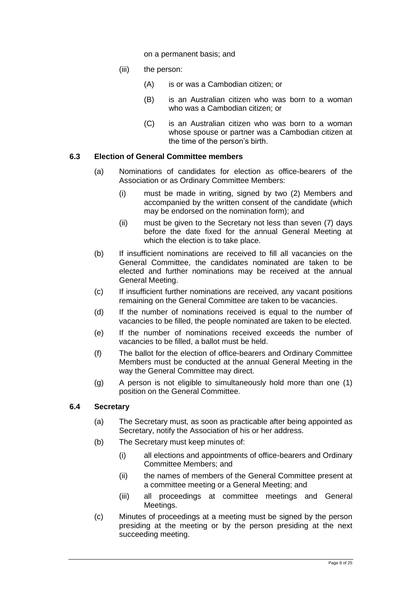on a permanent basis; and

- <span id="page-10-2"></span>(iii) the person:
	- (A) is or was a Cambodian citizen; or
	- (B) is an Australian citizen who was born to a woman who was a Cambodian citizen; or
	- (C) is an Australian citizen who was born to a woman whose spouse or partner was a Cambodian citizen at the time of the person's birth.

#### <span id="page-10-0"></span>**6.3 Election of General Committee members**

- (a) Nominations of candidates for election as office-bearers of the Association or as Ordinary Committee Members:
	- (i) must be made in writing, signed by two (2) Members and accompanied by the written consent of the candidate (which may be endorsed on the nomination form); and
	- (ii) must be given to the Secretary not less than seven (7) days before the date fixed for the annual General Meeting at which the election is to take place.
- (b) If insufficient nominations are received to fill all vacancies on the General Committee, the candidates nominated are taken to be elected and further nominations may be received at the annual General Meeting.
- (c) If insufficient further nominations are received, any vacant positions remaining on the General Committee are taken to be vacancies.
- (d) If the number of nominations received is equal to the number of vacancies to be filled, the people nominated are taken to be elected.
- (e) If the number of nominations received exceeds the number of vacancies to be filled, a ballot must be held.
- (f) The ballot for the election of office-bearers and Ordinary Committee Members must be conducted at the annual General Meeting in the way the General Committee may direct.
- (g) A person is not eligible to simultaneously hold more than one (1) position on the General Committee.

#### <span id="page-10-1"></span>**6.4 Secretary**

- (a) The Secretary must, as soon as practicable after being appointed as Secretary, notify the Association of his or her address.
- (b) The Secretary must keep minutes of:
	- (i) all elections and appointments of office-bearers and Ordinary Committee Members; and
	- (ii) the names of members of the General Committee present at a committee meeting or a General Meeting; and
	- (iii) all proceedings at committee meetings and General Meetings.
- (c) Minutes of proceedings at a meeting must be signed by the person presiding at the meeting or by the person presiding at the next succeeding meeting.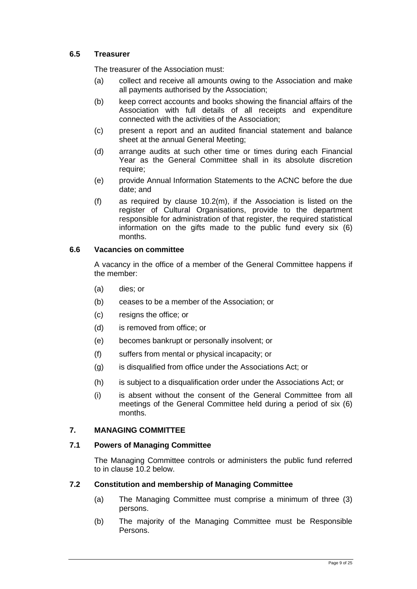#### <span id="page-11-0"></span>**6.5 Treasurer**

The treasurer of the Association must:

- (a) collect and receive all amounts owing to the Association and make all payments authorised by the Association;
- (b) keep correct accounts and books showing the financial affairs of the Association with full details of all receipts and expenditure connected with the activities of the Association;
- (c) present a report and an audited financial statement and balance sheet at the annual General Meeting;
- (d) arrange audits at such other time or times during each Financial Year as the General Committee shall in its absolute discretion require;
- (e) provide Annual Information Statements to the ACNC before the due date; and
- (f) as required by clause 10.2(m), if the Association is listed on the register of Cultural Organisations, provide to the department responsible for administration of that register, the required statistical information on the gifts made to the public fund every six (6) months.

#### <span id="page-11-1"></span>**6.6 Vacancies on committee**

A vacancy in the office of a member of the General Committee happens if the member:

- (a) dies; or
- (b) ceases to be a member of the Association; or
- (c) resigns the office; or
- (d) is removed from office; or
- (e) becomes bankrupt or personally insolvent; or
- (f) suffers from mental or physical incapacity; or
- (g) is disqualified from office under the Associations [Act;](http://www.legislation.act.gov.au/a/1991-46/default.asp) or
- (h) is subject to a disqualification order under the Associations [Act;](http://www.legislation.act.gov.au/a/1991-46/default.asp) or
- (i) is absent without the consent of the General Committee from all meetings of the General Committee held during a period of six (6) months.

#### <span id="page-11-2"></span>**7. MANAGING COMMITTEE**

#### <span id="page-11-3"></span>**7.1 Powers of Managing Committee**

The Managing Committee controls or administers the public fund referred to in clause [10.2](#page-18-4) below.

#### <span id="page-11-4"></span>**7.2 Constitution and membership of Managing Committee**

- (a) The Managing Committee must comprise a minimum of three (3) persons.
- (b) The majority of the Managing Committee must be Responsible Persons.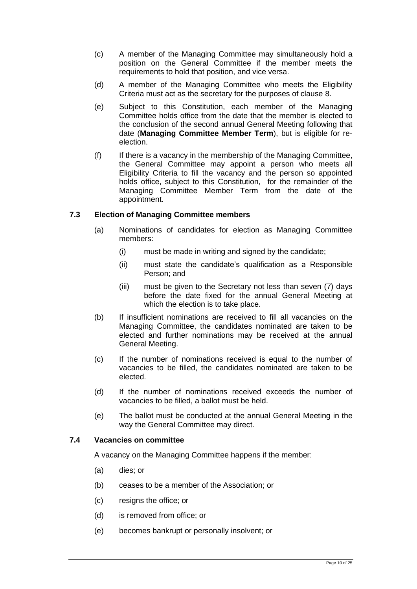- (c) A member of the Managing Committee may simultaneously hold a position on the General Committee if the member meets the requirements to hold that position, and vice versa.
- (d) A member of the Managing Committee who meets the Eligibility Criteria must act as the secretary for the purposes of clause [8.](#page-13-0)
- (e) Subject to this Constitution, each member of the Managing Committee holds office from the date that the member is elected to the conclusion of the second annual General Meeting following that date (**Managing Committee Member Term**), but is eligible for reelection.
- (f) If there is a vacancy in the membership of the Managing Committee, the General Committee may appoint a person who meets all Eligibility Criteria to fill the vacancy and the person so appointed holds office, subject to this Constitution, for the remainder of the Managing Committee Member Term from the date of the appointment.

#### <span id="page-12-0"></span>**7.3 Election of Managing Committee members**

- (a) Nominations of candidates for election as Managing Committee members:
	- (i) must be made in writing and signed by the candidate;
	- (ii) must state the candidate's qualification as a Responsible Person; and
	- (iii) must be given to the Secretary not less than seven (7) days before the date fixed for the annual General Meeting at which the election is to take place.
- (b) If insufficient nominations are received to fill all vacancies on the Managing Committee, the candidates nominated are taken to be elected and further nominations may be received at the annual General Meeting.
- (c) If the number of nominations received is equal to the number of vacancies to be filled, the candidates nominated are taken to be elected.
- (d) If the number of nominations received exceeds the number of vacancies to be filled, a ballot must be held.
- (e) The ballot must be conducted at the annual General Meeting in the way the General Committee may direct.

#### <span id="page-12-1"></span>**7.4 Vacancies on committee**

A vacancy on the Managing Committee happens if the member:

- (a) dies; or
- (b) ceases to be a member of the Association; or
- (c) resigns the office; or
- (d) is removed from office; or
- (e) becomes bankrupt or personally insolvent; or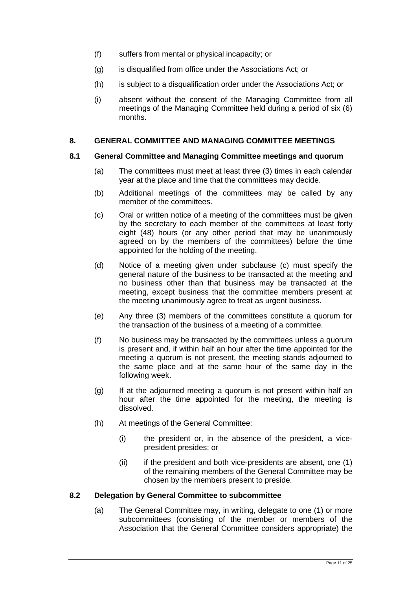- (f) suffers from mental or physical incapacity; or
- (g) is disqualified from office under the Associations [Act;](http://www.legislation.act.gov.au/a/1991-46/default.asp) or
- (h) is subject to a disqualification order under the Associations [Act;](http://www.legislation.act.gov.au/a/1991-46/default.asp) or
- (i) absent without the consent of the Managing Committee from all meetings of the Managing Committee held during a period of six (6) months.

#### <span id="page-13-0"></span>**8. GENERAL COMMITTEE AND MANAGING COMMITTEE MEETINGS**

#### <span id="page-13-1"></span>**8.1 General Committee and Managing Committee meetings and quorum**

- (a) The committees must meet at least three (3) times in each calendar year at the place and time that the committees may decide.
- (b) Additional meetings of the committees may be called by any member of the committees.
- (c) Oral or written notice of a meeting of the committees must be given by the secretary to each member of the committees at least forty eight (48) hours (or any other period that may be unanimously agreed on by the members of the committees) before the time appointed for the holding of the meeting.
- (d) Notice of a meeting given under subclause (c) must specify the general nature of the business to be transacted at the meeting and no business other than that business may be transacted at the meeting, except business that the committee members present at the meeting unanimously agree to treat as urgent business.
- (e) Any three (3) members of the committees constitute a quorum for the transaction of the business of a meeting of a committee.
- (f) No business may be transacted by the committees unless a quorum is present and, if within half an hour after the time appointed for the meeting a quorum is not present, the meeting stands adjourned to the same place and at the same hour of the same day in the following week.
- (g) If at the adjourned meeting a quorum is not present within half an hour after the time appointed for the meeting, the meeting is dissolved.
- (h) At meetings of the General Committee:
	- (i) the president or, in the absence of the president, a vicepresident presides; or
	- $(ii)$  if the president and both vice-presidents are absent, one  $(1)$ of the remaining members of the General Committee may be chosen by the members present to preside.

#### <span id="page-13-2"></span>**8.2 Delegation by General Committee to subcommittee**

(a) The General Committee may, in writing, delegate to one (1) or more subcommittees (consisting of the member or members of the Association that the General Committee considers appropriate) the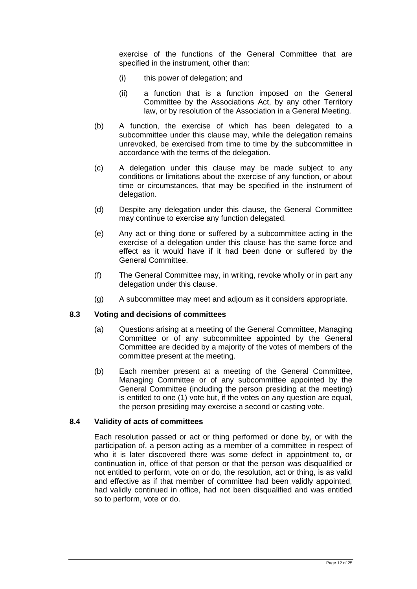exercise of the functions of the General Committee that are specified in the instrument, other than:

- (i) this power of delegation; and
- (ii) a function that is a function imposed on the General Committee by the Associations Act, by any other Territory law, or by resolution of the Association in a General Meeting.
- (b) A function, the exercise of which has been delegated to a subcommittee under this clause may, while the delegation remains unrevoked, be exercised from time to time by the subcommittee in accordance with the terms of the delegation.
- (c) A delegation under this clause may be made subject to any conditions or limitations about the exercise of any function, or about time or circumstances, that may be specified in the instrument of delegation.
- (d) Despite any delegation under this clause, the General Committee may continue to exercise any function delegated.
- (e) Any act or thing done or suffered by a subcommittee acting in the exercise of a delegation under this clause has the same force and effect as it would have if it had been done or suffered by the General Committee.
- (f) The General Committee may, in writing, revoke wholly or in part any delegation under this clause.
- (g) A subcommittee may meet and adjourn as it considers appropriate.

#### **8.3 Voting and decisions of committees**

- (a) Questions arising at a meeting of the General Committee, Managing Committee or of any subcommittee appointed by the General Committee are decided by a majority of the votes of members of the committee present at the meeting.
- (b) Each member present at a meeting of the General Committee, Managing Committee or of any subcommittee appointed by the General Committee (including the person presiding at the meeting) is entitled to one (1) vote but, if the votes on any question are equal, the person presiding may exercise a second or casting vote.

#### <span id="page-14-0"></span>**8.4 Validity of acts of committees**

Each resolution passed or act or thing performed or done by, or with the participation of, a person acting as a member of a committee in respect of who it is later discovered there was some defect in appointment to, or continuation in, office of that person or that the person was disqualified or not entitled to perform, vote on or do, the resolution, act or thing, is as valid and effective as if that member of committee had been validly appointed, had validly continued in office, had not been disqualified and was entitled so to perform, vote or do.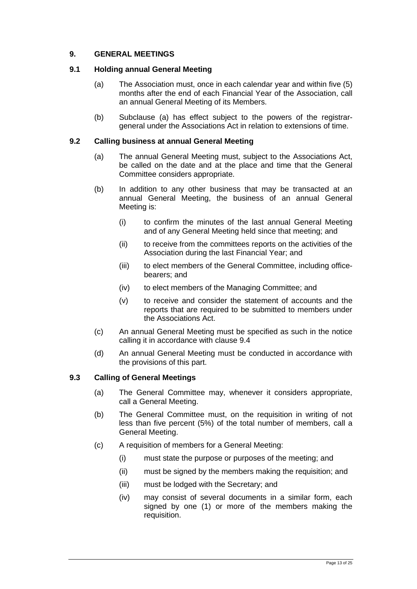#### <span id="page-15-0"></span>**9. GENERAL MEETINGS**

#### <span id="page-15-1"></span>**9.1 Holding annual General Meeting**

- (a) The Association must, once in each calendar year and within five (5) months after the end of each Financial Year of the Association, call an annual General Meeting of its Members.
- (b) Subclause (a) has effect subject to the powers of the registrargeneral under the Associations Act in relation to extensions of time.

#### <span id="page-15-2"></span>**9.2 Calling business at annual General Meeting**

- (a) The annual General Meeting must, subject to the Associations Act, be called on the date and at the place and time that the General Committee considers appropriate.
- (b) In addition to any other business that may be transacted at an annual General Meeting, the business of an annual General Meeting is:
	- (i) to confirm the minutes of the last annual General Meeting and of any General Meeting held since that meeting; and
	- (ii) to receive from the committees reports on the activities of the Association during the last Financial Year; and
	- (iii) to elect members of the General Committee, including officebearers; and
	- (iv) to elect members of the Managing Committee; and
	- (v) to receive and consider the statement of accounts and the reports that are required to be submitted to members under the Associations Act.
- (c) An annual General Meeting must be specified as such in the notice calling it in accordance with clause [9.4](#page-16-0)
- (d) An annual General Meeting must be conducted in accordance with the provisions of this part.

#### <span id="page-15-3"></span>**9.3 Calling of General Meetings**

- (a) The General Committee may, whenever it considers appropriate, call a General Meeting.
- (b) The General Committee must, on the requisition in writing of not less than five percent (5%) of the total number of members, call a General Meeting.
- (c) A requisition of members for a General Meeting:
	- (i) must state the purpose or purposes of the meeting; and
	- (ii) must be signed by the members making the requisition; and
	- (iii) must be lodged with the Secretary; and
	- (iv) may consist of several documents in a similar form, each signed by one (1) or more of the members making the requisition.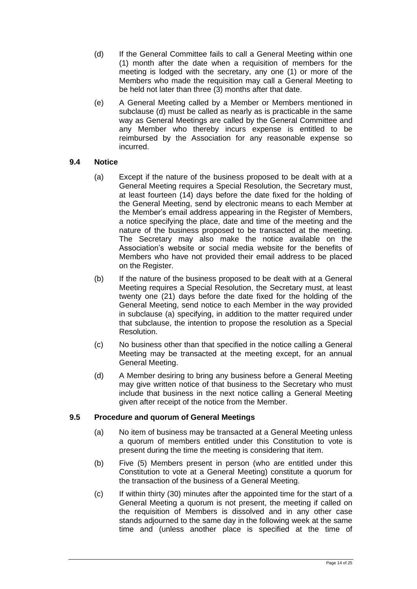- (d) If the General Committee fails to call a General Meeting within one (1) month after the date when a requisition of members for the meeting is lodged with the secretary, any one (1) or more of the Members who made the requisition may call a General Meeting to be held not later than three (3) months after that date.
- (e) A General Meeting called by a Member or Members mentioned in subclause (d) must be called as nearly as is practicable in the same way as General Meetings are called by the General Committee and any Member who thereby incurs expense is entitled to be reimbursed by the Association for any reasonable expense so incurred.

#### <span id="page-16-0"></span>**9.4 Notice**

- (a) Except if the nature of the business proposed to be dealt with at a General Meeting requires a Special Resolution, the Secretary must, at least fourteen (14) days before the date fixed for the holding of the General Meeting, send by electronic means to each Member at the Member's email address appearing in the Register of Members, a notice specifying the place, date and time of the meeting and the nature of the business proposed to be transacted at the meeting. The Secretary may also make the notice available on the Association's website or social media website for the benefits of Members who have not provided their email address to be placed on the Register.
- (b) If the nature of the business proposed to be dealt with at a General Meeting requires a Special Resolution, the Secretary must, at least twenty one (21) days before the date fixed for the holding of the General Meeting, send notice to each Member in the way provided in subclause (a) specifying, in addition to the matter required under that subclause, the intention to propose the resolution as a Special Resolution.
- (c) No business other than that specified in the notice calling a General Meeting may be transacted at the meeting except, for an annual General Meeting.
- (d) A Member desiring to bring any business before a General Meeting may give written notice of that business to the Secretary who must include that business in the next notice calling a General Meeting given after receipt of the notice from the Member.

#### <span id="page-16-1"></span>**9.5 Procedure and quorum of General Meetings**

- (a) No item of business may be transacted at a General Meeting unless a quorum of members entitled under this Constitution to vote is present during the time the meeting is considering that item.
- (b) Five (5) Members present in person (who are entitled under this Constitution to vote at a General Meeting) constitute a quorum for the transaction of the business of a General Meeting.
- (c) If within thirty (30) minutes after the appointed time for the start of a General Meeting a quorum is not present, the meeting if called on the requisition of Members is dissolved and in any other case stands adjourned to the same day in the following week at the same time and (unless another place is specified at the time of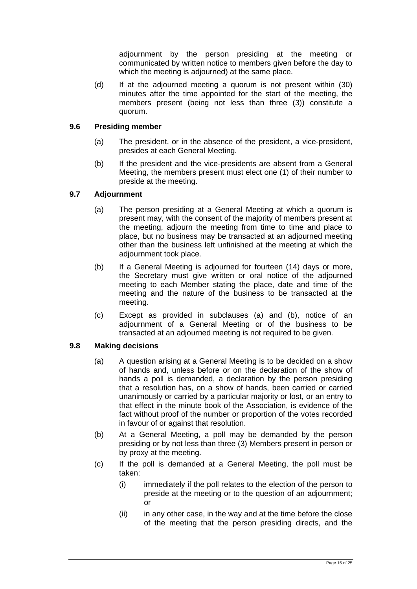adjournment by the person presiding at the meeting or communicated by written notice to members given before the day to which the meeting is adjourned) at the same place.

(d) If at the adjourned meeting a quorum is not present within (30) minutes after the time appointed for the start of the meeting, the members present (being not less than three (3)) constitute a quorum.

#### <span id="page-17-0"></span>**9.6 Presiding member**

- (a) The president, or in the absence of the president, a vice-president, presides at each General Meeting.
- (b) If the president and the vice-presidents are absent from a General Meeting, the members present must elect one (1) of their number to preside at the meeting.

#### <span id="page-17-1"></span>**9.7 Adjournment**

- (a) The person presiding at a General Meeting at which a quorum is present may, with the consent of the majority of members present at the meeting, adjourn the meeting from time to time and place to place, but no business may be transacted at an adjourned meeting other than the business left unfinished at the meeting at which the adjournment took place.
- (b) If a General Meeting is adjourned for fourteen (14) days or more, the Secretary must give written or oral notice of the adjourned meeting to each Member stating the place, date and time of the meeting and the nature of the business to be transacted at the meeting.
- (c) Except as provided in subclauses (a) and (b), notice of an adjournment of a General Meeting or of the business to be transacted at an adjourned meeting is not required to be given.

#### <span id="page-17-2"></span>**9.8 Making decisions**

- (a) A question arising at a General Meeting is to be decided on a show of hands and, unless before or on the declaration of the show of hands a poll is demanded, a declaration by the person presiding that a resolution has, on a show of hands, been carried or carried unanimously or carried by a particular majority or lost, or an entry to that effect in the minute book of the Association, is evidence of the fact without proof of the number or proportion of the votes recorded in favour of or against that resolution.
- (b) At a General Meeting, a poll may be demanded by the person presiding or by not less than three (3) Members present in person or by proxy at the meeting.
- (c) If the poll is demanded at a General Meeting, the poll must be taken:
	- (i) immediately if the poll relates to the election of the person to preside at the meeting or to the question of an adjournment; or
	- $(ii)$  in any other case, in the way and at the time before the close of the meeting that the person presiding directs, and the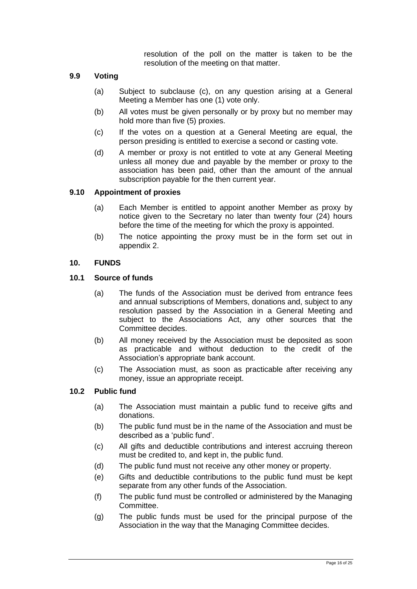resolution of the poll on the matter is taken to be the resolution of the meeting on that matter.

#### <span id="page-18-0"></span>**9.9 Voting**

- (a) Subject to subclause (c), on any question arising at a General Meeting a Member has one (1) vote only.
- (b) All votes must be given personally or by proxy but no member may hold more than five (5) proxies.
- (c) If the votes on a question at a General Meeting are equal, the person presiding is entitled to exercise a second or casting vote.
- (d) A member or proxy is not entitled to vote at any General Meeting unless all money due and payable by the member or proxy to the association has been paid, other than the amount of the annual subscription payable for the then current year.

#### <span id="page-18-1"></span>**9.10 Appointment of proxies**

- (a) Each Member is entitled to appoint another Member as proxy by notice given to the Secretary no later than twenty four (24) hours before the time of the meeting for which the proxy is appointed.
- (b) The notice appointing the proxy must be in the form set out in appendix 2.

#### <span id="page-18-2"></span>**10. FUNDS**

#### <span id="page-18-3"></span>**10.1 Source of funds**

- (a) The funds of the Association must be derived from entrance fees and annual subscriptions of Members, donations and, subject to any resolution passed by the Association in a General Meeting and subject to the Associations Act, any other sources that the Committee decides.
- (b) All money received by the Association must be deposited as soon as practicable and without deduction to the credit of the Association's appropriate bank account.
- (c) The Association must, as soon as practicable after receiving any money, issue an appropriate receipt.

#### <span id="page-18-4"></span>**10.2 Public fund**

- (a) The Association must maintain a public fund to receive gifts and donations.
- (b) The public fund must be in the name of the Association and must be described as a 'public fund'.
- (c) All gifts and deductible contributions and interest accruing thereon must be credited to, and kept in, the public fund.
- (d) The public fund must not receive any other money or property.
- (e) Gifts and deductible contributions to the public fund must be kept separate from any other funds of the Association.
- (f) The public fund must be controlled or administered by the Managing Committee.
- (g) The public funds must be used for the principal purpose of the Association in the way that the Managing Committee decides.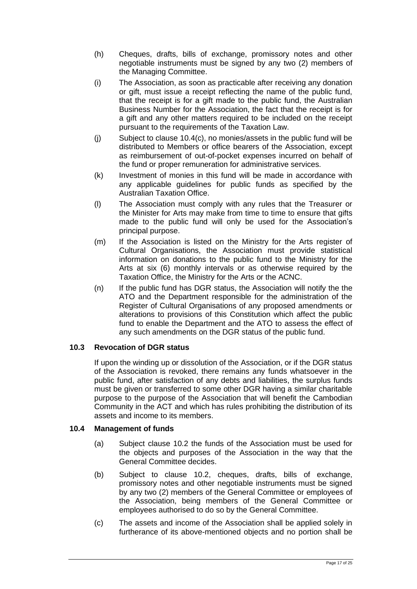- (h) Cheques, drafts, bills of exchange, promissory notes and other negotiable instruments must be signed by any two (2) members of the Managing Committee.
- (i) The Association, as soon as practicable after receiving any donation or gift, must issue a receipt reflecting the name of the public fund, that the receipt is for a gift made to the public fund, the Australian Business Number for the Association, the fact that the receipt is for a gift and any other matters required to be included on the receipt pursuant to the requirements of the Taxation Law.
- (j) Subject to clause 10.4(c), no monies/assets in the public fund will be distributed to Members or office bearers of the Association, except as reimbursement of out-of-pocket expenses incurred on behalf of the fund or proper remuneration for administrative services.
- (k) Investment of monies in this fund will be made in accordance with any applicable guidelines for public funds as specified by the Australian Taxation Office.
- (l) The Association must comply with any rules that the Treasurer or the Minister for Arts may make from time to time to ensure that gifts made to the public fund will only be used for the Association's principal purpose.
- (m) If the Association is listed on the Ministry for the Arts register of Cultural Organisations, the Association must provide statistical information on donations to the public fund to the Ministry for the Arts at six (6) monthly intervals or as otherwise required by the Taxation Office, the Ministry for the Arts or the ACNC.
- (n) If the public fund has DGR status, the Association will notify the the ATO and the Department responsible for the administration of the Register of Cultural Organisations of any proposed amendments or alterations to provisions of this Constitution which affect the public fund to enable the Department and the ATO to assess the effect of any such amendments on the DGR status of the public fund.

#### <span id="page-19-0"></span>**10.3 Revocation of DGR status**

If upon the winding up or dissolution of the Association, or if the DGR status of the Association is revoked, there remains any funds whatsoever in the public fund, after satisfaction of any debts and liabilities, the surplus funds must be given or transferred to some other DGR having a similar charitable purpose to the purpose of the Association that will benefit the Cambodian Community in the ACT and which has rules prohibiting the distribution of its assets and income to its members.

#### <span id="page-19-1"></span>**10.4 Management of funds**

- (a) Subject clause [10.2](#page-18-4) the funds of the Association must be used for the objects and purposes of the Association in the way that the General Committee decides.
- (b) Subject to clause [10.2,](#page-18-4) cheques, drafts, bills of exchange, promissory notes and other negotiable instruments must be signed by any two (2) members of the General Committee or employees of the Association, being members of the General Committee or employees authorised to do so by the General Committee.
- (c) The assets and income of the Association shall be applied solely in furtherance of its above-mentioned objects and no portion shall be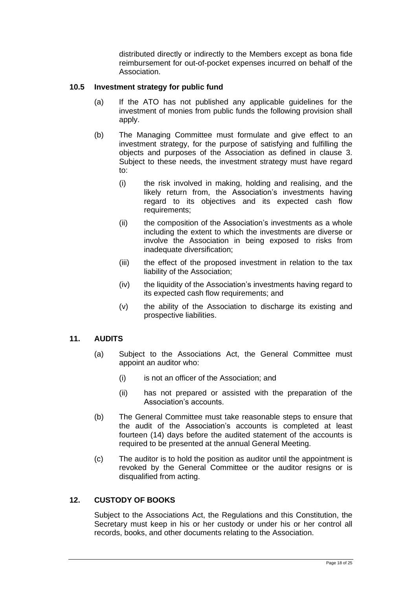distributed directly or indirectly to the Members except as bona fide reimbursement for out-of-pocket expenses incurred on behalf of the Association.

#### <span id="page-20-0"></span>**10.5 Investment strategy for public fund**

- (a) If the ATO has not published any applicable guidelines for the investment of monies from public funds the following provision shall apply.
- (b) The Managing Committee must formulate and give effect to an investment strategy, for the purpose of satisfying and fulfilling the objects and purposes of the Association as defined in clause 3. Subject to these needs, the investment strategy must have regard to:
	- (i) the risk involved in making, holding and realising, and the likely return from, the Association's investments having regard to its objectives and its expected cash flow requirements;
	- (ii) the composition of the Association's investments as a whole including the extent to which the investments are diverse or involve the Association in being exposed to risks from inadequate diversification;
	- (iii) the effect of the proposed investment in relation to the tax liability of the Association;
	- (iv) the liquidity of the Association's investments having regard to its expected cash flow requirements; and
	- (v) the ability of the Association to discharge its existing and prospective liabilities.

#### <span id="page-20-1"></span>**11. AUDITS**

- (a) Subject to the Associations Act, the General Committee must appoint an auditor who:
	- (i) is not an officer of the Association; and
	- (ii) has not prepared or assisted with the preparation of the Association's accounts.
- (b) The General Committee must take reasonable steps to ensure that the audit of the Association's accounts is completed at least fourteen (14) days before the audited statement of the accounts is required to be presented at the annual General Meeting.
- (c) The auditor is to hold the position as auditor until the appointment is revoked by the General Committee or the auditor resigns or is disqualified from acting.

#### <span id="page-20-2"></span>**12. CUSTODY OF BOOKS**

Subject to the Associations Act, the Regulations and this Constitution, the Secretary must keep in his or her custody or under his or her control all records, books, and other documents relating to the Association.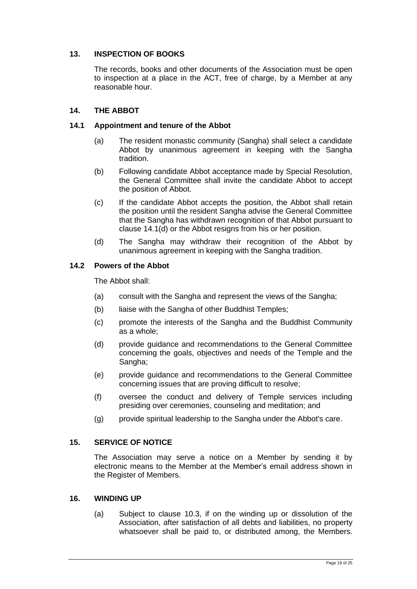#### <span id="page-21-0"></span>**13. INSPECTION OF BOOKS**

The records, books and other documents of the Association must be open to inspection at a place in the ACT, free of charge, by a Member at any reasonable hour.

#### <span id="page-21-1"></span>**14. THE ABBOT**

#### <span id="page-21-2"></span>**14.1 Appointment and tenure of the Abbot**

- (a) The resident monastic community (Sangha) shall select a candidate Abbot by unanimous agreement in keeping with the Sangha tradition.
- (b) Following candidate Abbot acceptance made by Special Resolution, the General Committee shall invite the candidate Abbot to accept the position of Abbot.
- (c) If the candidate Abbot accepts the position, the Abbot shall retain the position until the resident Sangha advise the General Committee that the Sangha has withdrawn recognition of that Abbot pursuant to clause 14.1(d) or the Abbot resigns from his or her position.
- (d) The Sangha may withdraw their recognition of the Abbot by unanimous agreement in keeping with the Sangha tradition.

#### <span id="page-21-3"></span>**14.2 Powers of the Abbot**

The Abbot shall:

- (a) consult with the Sangha and represent the views of the Sangha;
- (b) liaise with the Sangha of other Buddhist Temples;
- (c) promote the interests of the Sangha and the Buddhist Community as a whole;
- (d) provide guidance and recommendations to the General Committee concerning the goals, objectives and needs of the Temple and the Sangha;
- (e) provide guidance and recommendations to the General Committee concerning issues that are proving difficult to resolve;
- (f) oversee the conduct and delivery of Temple services including presiding over ceremonies, counseling and meditation; and
- (g) provide spiritual leadership to the Sangha under the Abbot's care.

#### <span id="page-21-4"></span>**15. SERVICE OF NOTICE**

The Association may serve a notice on a Member by sending it by electronic means to the Member at the Member's email address shown in the Register of Members.

#### <span id="page-21-5"></span>**16. WINDING UP**

(a) Subject to clause [10.3,](#page-19-0) if on the winding up or dissolution of the Association, after satisfaction of all debts and liabilities, no property whatsoever shall be paid to, or distributed among, the Members.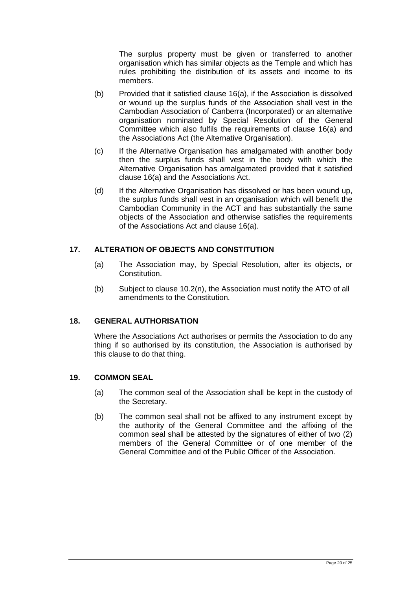The surplus property must be given or transferred to another organisation which has similar objects as the Temple and which has rules prohibiting the distribution of its assets and income to its members.

- (b) Provided that it satisfied clause 16(a), if the Association is dissolved or wound up the surplus funds of the Association shall vest in the Cambodian Association of Canberra (Incorporated) or an alternative organisation nominated by Special Resolution of the General Committee which also fulfils the requirements of clause 16(a) and the Associations Act (the Alternative Organisation).
- (c) If the Alternative Organisation has amalgamated with another body then the surplus funds shall vest in the body with which the Alternative Organisation has amalgamated provided that it satisfied clause 16(a) and the Associations Act.
- (d) If the Alternative Organisation has dissolved or has been wound up, the surplus funds shall vest in an organisation which will benefit the Cambodian Community in the ACT and has substantially the same objects of the Association and otherwise satisfies the requirements of the Associations Act and clause 16(a).

#### <span id="page-22-0"></span>**17. ALTERATION OF OBJECTS AND CONSTITUTION**

- (a) The Association may, by Special Resolution, alter its objects, or Constitution.
- (b) Subject to clause 10.2(n), the Association must notify the ATO of all amendments to the Constitution.

#### <span id="page-22-1"></span>**18. GENERAL AUTHORISATION**

Where the Associations Act authorises or permits the Association to do any thing if so authorised by its constitution, the Association is authorised by this clause to do that thing.

#### <span id="page-22-2"></span>**19. COMMON SEAL**

- (a) The common seal of the Association shall be kept in the custody of the Secretary.
- (b) The common seal shall not be affixed to any instrument except by the authority of the General Committee and the affixing of the common seal shall be attested by the signatures of either of two (2) members of the General Committee or of one member of the General Committee and of the Public Officer of the Association.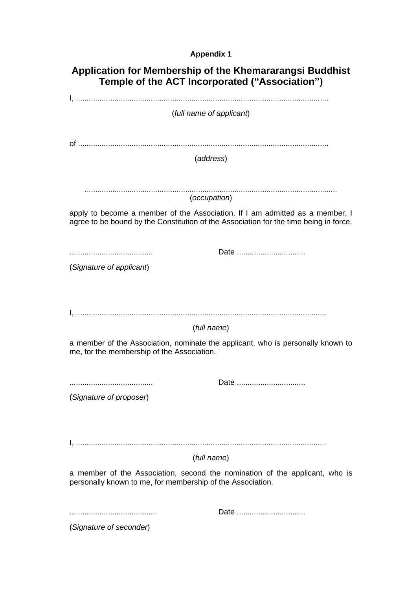### **Appendix 1**

| Application for Membership of the Khemararangsi Buddhist<br>Temple of the ACT Incorporated ("Association")                                                            |
|-----------------------------------------------------------------------------------------------------------------------------------------------------------------------|
|                                                                                                                                                                       |
| (full name of applicant)                                                                                                                                              |
| (address)                                                                                                                                                             |
|                                                                                                                                                                       |
|                                                                                                                                                                       |
| (occupation)                                                                                                                                                          |
| apply to become a member of the Association. If I am admitted as a member, I<br>agree to be bound by the Constitution of the Association for the time being in force. |
|                                                                                                                                                                       |
| (Signature of applicant)                                                                                                                                              |
|                                                                                                                                                                       |
| (full name)                                                                                                                                                           |
| a member of the Association, nominate the applicant, who is personally known to<br>me, for the membership of the Association.                                         |
| Date                                                                                                                                                                  |
|                                                                                                                                                                       |
| (Signature of proposer)                                                                                                                                               |
|                                                                                                                                                                       |
| (full name)                                                                                                                                                           |
| a member of the Association, second the nomination of the applicant, who is<br>personally known to me, for membership of the Association.                             |
| Date                                                                                                                                                                  |
| (Signature of seconder)                                                                                                                                               |